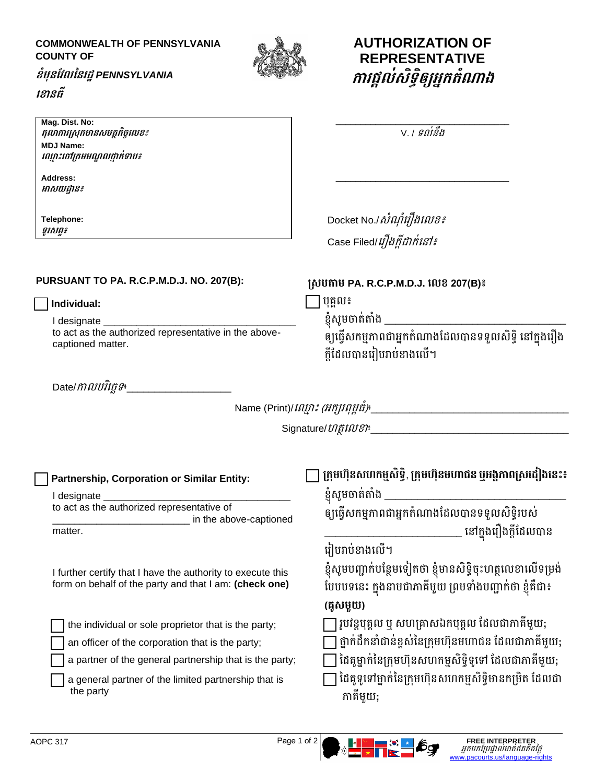## **COMMONWEALTH OF PENNSYLVANIA COUNTY OF**



**AUTHORIZATION OF REPRESENTATIVE**

**កោរផ្ដល់រិទធិឲ្យអ្នកតំណោង**

## **ខំមុនវែលននរដ្ឋ***PENNSYLVANIA* **ខ ោនធី**

| Mag. Dist. No:<br>តុលាការស្រុកមានសមត្ថកិច្ចលេខ៖<br><b>MDJ Name:</b><br>ល្មោះចៅក្រមមណ្ឌលថ្នាក់ទាប៖<br>Address:<br>អាសយដ្ឋាន៖ | V. <i>। ទល់នឹង</i>                                                                                                                                   |
|-----------------------------------------------------------------------------------------------------------------------------|------------------------------------------------------------------------------------------------------------------------------------------------------|
| Telephone:                                                                                                                  | Docket No./ <i>សំណុំរឿងលេខ៖</i>                                                                                                                      |
| ទូរសព្ទ៖                                                                                                                    | Case Filed/ <i>រឿងក្តីដាក់នៅ៖</i>                                                                                                                    |
| <b>PURSUANT TO PA. R.C.P.M.D.J. NO. 207(B):</b>                                                                             | ស្របតាម PA. R.C.P.M.D.J. លេខ 207(B)៖                                                                                                                 |
| Individual:                                                                                                                 | បុគ្គល៖                                                                                                                                              |
| I designate                                                                                                                 | ខ្ញុំសូមចាត់តាំង ___________                                                                                                                         |
| to act as the authorized representative in the above-                                                                       | ឲ្យធ្វើសកម្មភាពជាអ្នកតំណាងដែលបានទទួលសិទ្ធិ នៅក្នុងរឿង                                                                                                |
| captioned matter.                                                                                                           | ក្តីដែលបានរៀបរាប់ខាងលើ។                                                                                                                              |
| $\mathsf{Date}/\mathit{MMU}\bar{\mathit{H}}\bar{\mathit{H}}\mathit{G}^*\underline{\mathit{H}}$                              | Name (Print)/ <i>ល្មោះ (អក្សរពុម្ពធំ)</i> ៖___________________________                                                                               |
| Partnership, Corporation or Similar Entity:                                                                                 | ក្រុមហ៊ុនសហកម្មសិទ្ធិ, ក្រុមហ៊ុនមហាជន ឫអង្គភាពស្រដៀងនេះ៖                                                                                             |
| I designate ________                                                                                                        | ខ្ញុំសូមចាត់តាំង _______                                                                                                                             |
| to act as the authorized representative of<br>in the above-captioned<br>matter.                                             | ឲ្យធ្វើសកម្មភាពជាអ្នកតំណាងដែលបានទទួលសិទ្ធិរបស់<br>នៅក្នុងរឿងក្តីដែលបាន                                                                               |
| I further certify that I have the authority to execute this<br>form on behalf of the party and that I am: (check one)       | រៀបរាប់ខាងលើ។<br>ខ្ញុំសូមបញ្ជាក់បន្ថែមទៀតថា ខ្ញុំមានសិទ្ធិចុះហត្ថលេខាលើទម្រង់<br>បែបបទនេះ ក្នុងនាមជាភាគីមួយ ព្រមទាំងបញ្ជាក់ថា ខ្ញុំគឺជា៖<br>(គូសមួយ) |
| the individual or sole proprietor that is the party;                                                                        | រូបវន្តបុគ្គល ឬ សហគ្រាសឯកបុគ្គល ដែលជាភាគីមួយ;                                                                                                        |
| an officer of the corporation that is the party;                                                                            | ថ្នាក់ដឹកនាំជាន់ខ្ពស់នៃក្រុមហ៊ុនមហាជន ដែលជាភាគីមួយ;                                                                                                  |
| a partner of the general partnership that is the party;                                                                     | ដៃគូម្នាក់នៃក្រុមហ៊ុនសហកម្មសិទ្ធិទូទៅ ដែលជាភាគីមួយ;                                                                                                  |
| a general partner of the limited partnership that is                                                                        | ដៃគូទូទៅម្នាក់នៃក្រុមហ៊ុនសហកម្មសិទ្ធិមានកម្រិត ដែលជា                                                                                                 |
| the party                                                                                                                   | ភាគីមួយ;                                                                                                                                             |

AOPC 317 **FREE INTERPRETER**<br>
FREE INTERPRETER<br> [www.pacourts.us/language-rights](http://www.pacourts.us/language-rights)